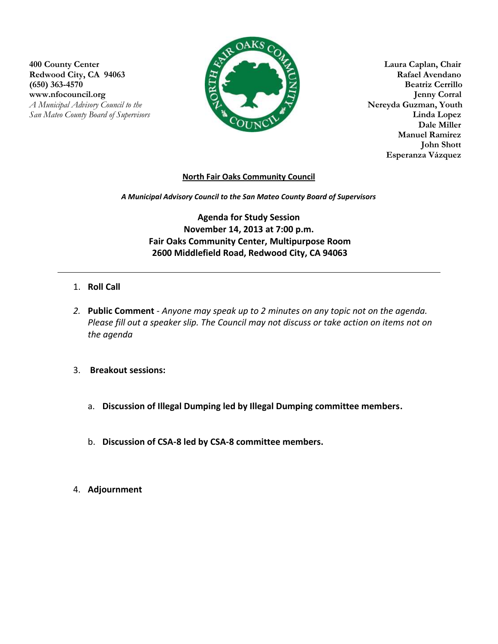**400 County Center Laura Caplan, Chair** Redwood City, CA 94063<br>
(650) 363-4570 **Rafael Avendano**<br>
Redwood City, CA 94063<br> **Rafael Avendano**<br>
Reatriz Cerrillo **(650) 363-4570** WWW.nfocouncil.org Jenny Corral<br> *A Municipal Advisory Council to the* Served A Municipal Advisory Council to the Served A Municipal Advisory Council to the *A Municipal Advisory Council to the San Mateo County Board of Supervisors* **Linda Lopez**



**Manuel Ramirez John Shott Esperanza Vázquez**

## **North Fair Oaks Community Council**

*A Municipal Advisory Council to the San Mateo County Board of Supervisors*

**Agenda for Study Session November 14, 2013 at 7:00 p.m. Fair Oaks Community Center, Multipurpose Room 2600 Middlefield Road, Redwood City, CA 94063**

- 1. **Roll Call**
- *2.* **Public Comment** *Anyone may speak up to 2 minutes on any topic not on the agenda. Please fill out a speaker slip. The Council may not discuss or take action on items not on the agenda*
- 3. **Breakout sessions:**
	- a. **Discussion of Illegal Dumping led by Illegal Dumping committee members.**
	- b. **Discussion of CSA-8 led by CSA-8 committee members.**
- 4. **Adjournment**